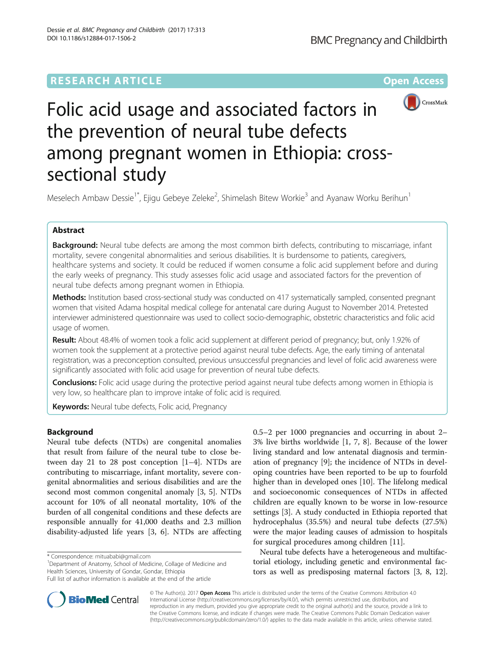## **RESEARCH ARTICLE External Structure Community Community Community Community Community Community Community Community**



# Folic acid usage and associated factors in the prevention of neural tube defects among pregnant women in Ethiopia: crosssectional study

Meselech Ambaw Dessie<sup>1\*</sup>, Ejigu Gebeye Zeleke<sup>2</sup>, Shimelash Bitew Workie<sup>3</sup> and Ayanaw Worku Berihun<sup>1</sup>

## Abstract

Background: Neural tube defects are among the most common birth defects, contributing to miscarriage, infant mortality, severe congenital abnormalities and serious disabilities. It is burdensome to patients, caregivers, healthcare systems and society. It could be reduced if women consume a folic acid supplement before and during the early weeks of pregnancy. This study assesses folic acid usage and associated factors for the prevention of neural tube defects among pregnant women in Ethiopia.

Methods: Institution based cross-sectional study was conducted on 417 systematically sampled, consented pregnant women that visited Adama hospital medical college for antenatal care during August to November 2014. Pretested interviewer administered questionnaire was used to collect socio-demographic, obstetric characteristics and folic acid usage of women.

Result: About 48.4% of women took a folic acid supplement at different period of pregnancy; but, only 1.92% of women took the supplement at a protective period against neural tube defects. Age, the early timing of antenatal registration, was a preconception consulted, previous unsuccessful pregnancies and level of folic acid awareness were significantly associated with folic acid usage for prevention of neural tube defects.

Conclusions: Folic acid usage during the protective period against neural tube defects among women in Ethiopia is very low, so healthcare plan to improve intake of folic acid is required.

Keywords: Neural tube defects, Folic acid, Pregnancy

## Background

Neural tube defects (NTDs) are congenital anomalies that result from failure of the neural tube to close between day 21 to 28 post conception [\[1](#page-6-0)–[4\]](#page-6-0). NTDs are contributing to miscarriage, infant mortality, severe congenital abnormalities and serious disabilities and are the second most common congenital anomaly [\[3](#page-6-0), [5](#page-6-0)]. NTDs account for 10% of all neonatal mortality, 10% of the burden of all congenital conditions and these defects are responsible annually for 41,000 deaths and 2.3 million disability-adjusted life years [\[3](#page-6-0), [6](#page-6-0)]. NTDs are affecting

\* Correspondence: [mituababi@gmail.com](mailto:mituababi@gmail.com) <sup>1</sup>

<sup>1</sup>Department of Anatomy, School of Medicine, Collage of Medicine and Health Sciences, University of Gondar, Gondar, Ethiopia



Neural tube defects have a heterogeneous and multifactorial etiology, including genetic and environmental factors as well as predisposing maternal factors [[3, 8](#page-6-0), [12](#page-6-0)].



© The Author(s). 2017 **Open Access** This article is distributed under the terms of the Creative Commons Attribution 4.0 International License [\(http://creativecommons.org/licenses/by/4.0/](http://creativecommons.org/licenses/by/4.0/)), which permits unrestricted use, distribution, and reproduction in any medium, provided you give appropriate credit to the original author(s) and the source, provide a link to the Creative Commons license, and indicate if changes were made. The Creative Commons Public Domain Dedication waiver [\(http://creativecommons.org/publicdomain/zero/1.0/](http://creativecommons.org/publicdomain/zero/1.0/)) applies to the data made available in this article, unless otherwise stated.

Full list of author information is available at the end of the article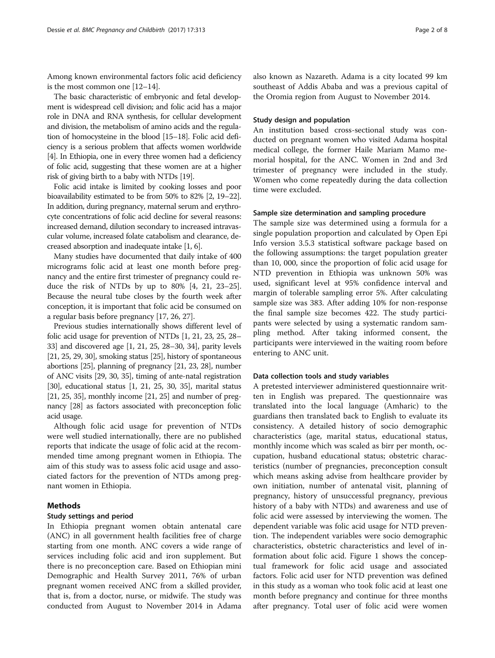Among known environmental factors folic acid deficiency is the most common one [\[12](#page-6-0)–[14](#page-6-0)].

The basic characteristic of embryonic and fetal development is widespread cell division; and folic acid has a major role in DNA and RNA synthesis, for cellular development and division, the metabolism of amino acids and the regulation of homocysteine in the blood [[15](#page-6-0)–[18](#page-6-0)]. Folic acid deficiency is a serious problem that affects women worldwide [[4](#page-6-0)]. In Ethiopia, one in every three women had a deficiency of folic acid, suggesting that these women are at a higher risk of giving birth to a baby with NTDs [\[19\]](#page-6-0).

Folic acid intake is limited by cooking losses and poor bioavailability estimated to be from 50% to 82% [\[2, 19](#page-6-0)–[22](#page-6-0)]. In addition, during pregnancy, maternal serum and erythrocyte concentrations of folic acid decline for several reasons: increased demand, dilution secondary to increased intravascular volume, increased folate catabolism and clearance, decreased absorption and inadequate intake [\[1](#page-6-0), [6](#page-6-0)].

Many studies have documented that daily intake of 400 micrograms folic acid at least one month before pregnancy and the entire first trimester of pregnancy could reduce the risk of NTDs by up to 80% [\[4, 21, 23](#page-6-0)–[25](#page-6-0)]. Because the neural tube closes by the fourth week after conception, it is important that folic acid be consumed on a regular basis before pregnancy [\[17, 26, 27](#page-6-0)].

Previous studies internationally shows different level of folic acid usage for prevention of NTDs [[1](#page-6-0), [21, 23](#page-6-0), [25](#page-6-0), [28](#page-6-0)– [33](#page-7-0)] and discovered age [\[1, 21, 25, 28](#page-6-0)–[30, 34\]](#page-7-0), parity levels [[21](#page-6-0), [25](#page-6-0), [29, 30\]](#page-7-0), smoking status [\[25](#page-6-0)], history of spontaneous abortions [[25](#page-6-0)], planning of pregnancy [\[21, 23, 28](#page-6-0)], number of ANC visits [[29](#page-7-0), [30, 35](#page-7-0)], timing of ante-natal registration [[30](#page-7-0)], educational status [\[1, 21, 25,](#page-6-0) [30](#page-7-0), [35](#page-7-0)], marital status [[21](#page-6-0), [25,](#page-6-0) [35](#page-7-0)], monthly income [\[21, 25](#page-6-0)] and number of pregnancy [\[28\]](#page-6-0) as factors associated with preconception folic acid usage.

Although folic acid usage for prevention of NTDs were well studied internationally, there are no published reports that indicate the usage of folic acid at the recommended time among pregnant women in Ethiopia. The aim of this study was to assess folic acid usage and associated factors for the prevention of NTDs among pregnant women in Ethiopia.

#### Methods

#### Study settings and period

In Ethiopia pregnant women obtain antenatal care (ANC) in all government health facilities free of charge starting from one month. ANC covers a wide range of services including folic acid and iron supplement. But there is no preconception care. Based on Ethiopian mini Demographic and Health Survey 2011, 76% of urban pregnant women received ANC from a skilled provider, that is, from a doctor, nurse, or midwife. The study was conducted from August to November 2014 in Adama

also known as Nazareth. Adama is a city located 99 km southeast of Addis Ababa and was a previous capital of the Oromia region from August to November 2014.

#### Study design and population

An institution based cross-sectional study was conducted on pregnant women who visited Adama hospital medical college, the former Haile Mariam Mamo memorial hospital, for the ANC. Women in 2nd and 3rd trimester of pregnancy were included in the study. Women who come repeatedly during the data collection time were excluded.

#### Sample size determination and sampling procedure

The sample size was determined using a formula for a single population proportion and calculated by Open Epi Info version 3.5.3 statistical software package based on the following assumptions: the target population greater than 10, 000, since the proportion of folic acid usage for NTD prevention in Ethiopia was unknown 50% was used, significant level at 95% confidence interval and margin of tolerable sampling error 5%. After calculating sample size was 383. After adding 10% for non-response the final sample size becomes 422. The study participants were selected by using a systematic random sampling method. After taking informed consent, the participants were interviewed in the waiting room before entering to ANC unit.

#### Data collection tools and study variables

A pretested interviewer administered questionnaire written in English was prepared. The questionnaire was translated into the local language (Amharic) to the guardians then translated back to English to evaluate its consistency. A detailed history of socio demographic characteristics (age, marital status, educational status, monthly income which was scaled as birr per month, occupation, husband educational status; obstetric characteristics (number of pregnancies, preconception consult which means asking advise from healthcare provider by own initiation, number of antenatal visit, planning of pregnancy, history of unsuccessful pregnancy, previous history of a baby with NTDs) and awareness and use of folic acid were assessed by interviewing the women. The dependent variable was folic acid usage for NTD prevention. The independent variables were socio demographic characteristics, obstetric characteristics and level of information about folic acid. Figure [1](#page-2-0) shows the conceptual framework for folic acid usage and associated factors. Folic acid user for NTD prevention was defined in this study as a woman who took folic acid at least one month before pregnancy and continue for three months after pregnancy. Total user of folic acid were women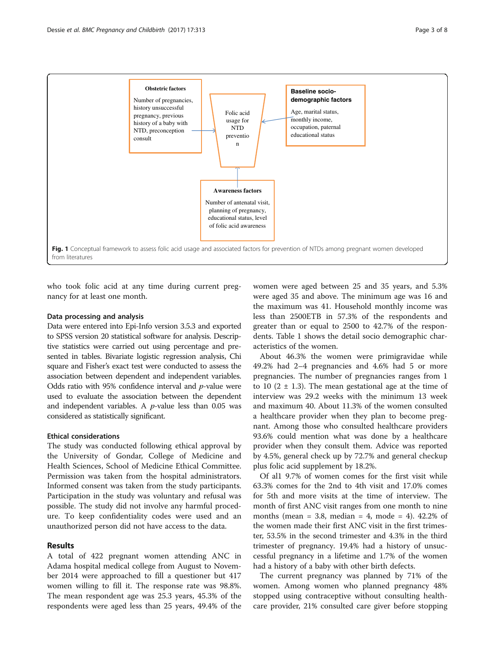<span id="page-2-0"></span>

who took folic acid at any time during current pregnancy for at least one month.

#### Data processing and analysis

Data were entered into Epi-Info version 3.5.3 and exported to SPSS version 20 statistical software for analysis. Descriptive statistics were carried out using percentage and presented in tables. Bivariate logistic regression analysis, Chi square and Fisher's exact test were conducted to assess the association between dependent and independent variables. Odds ratio with 95% confidence interval and  $p$ -value were used to evaluate the association between the dependent and independent variables. A  $p$ -value less than 0.05 was considered as statistically significant.

#### Ethical considerations

The study was conducted following ethical approval by the University of Gondar, College of Medicine and Health Sciences, School of Medicine Ethical Committee. Permission was taken from the hospital administrators. Informed consent was taken from the study participants. Participation in the study was voluntary and refusal was possible. The study did not involve any harmful procedure. To keep confidentiality codes were used and an unauthorized person did not have access to the data.

#### Results

A total of 422 pregnant women attending ANC in Adama hospital medical college from August to November 2014 were approached to fill a questioner but 417 women willing to fill it. The response rate was 98.8%. The mean respondent age was 25.3 years, 45.3% of the respondents were aged less than 25 years, 49.4% of the

women were aged between 25 and 35 years, and 5.3% were aged 35 and above. The minimum age was 16 and the maximum was 41. Household monthly income was less than 2500ETB in 57.3% of the respondents and greater than or equal to 2500 to 42.7% of the respondents. Table [1](#page-3-0) shows the detail socio demographic characteristics of the women.

About 46.3% the women were primigravidae while 49.2% had 2–4 pregnancies and 4.6% had 5 or more pregnancies. The number of pregnancies ranges from 1 to 10 (2  $\pm$  1.3). The mean gestational age at the time of interview was 29.2 weeks with the minimum 13 week and maximum 40. About 11.3% of the women consulted a healthcare provider when they plan to become pregnant. Among those who consulted healthcare providers 93.6% could mention what was done by a healthcare provider when they consult them. Advice was reported by 4.5%, general check up by 72.7% and general checkup plus folic acid supplement by 18.2%.

Of al1 9.7% of women comes for the first visit while 63.3% comes for the 2nd to 4th visit and 17.0% comes for 5th and more visits at the time of interview. The month of first ANC visit ranges from one month to nine months (mean = 3.8, median = 4, mode = 4).  $42.2\%$  of the women made their first ANC visit in the first trimester, 53.5% in the second trimester and 4.3% in the third trimester of pregnancy. 19.4% had a history of unsuccessful pregnancy in a lifetime and 1.7% of the women had a history of a baby with other birth defects.

The current pregnancy was planned by 71% of the women. Among women who planned pregnancy 48% stopped using contraceptive without consulting healthcare provider, 21% consulted care giver before stopping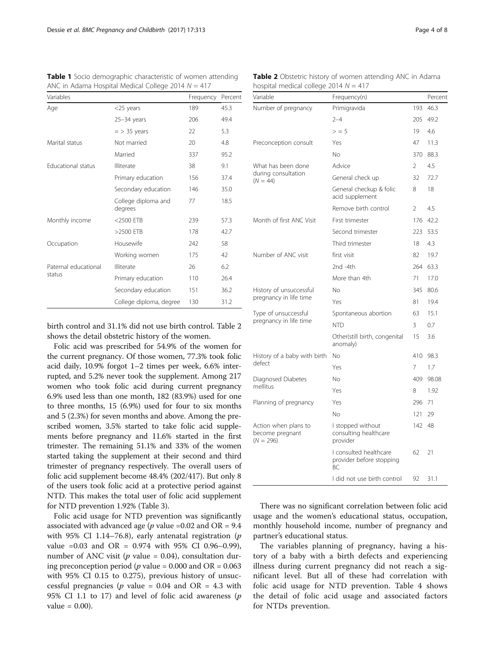| Variables                      |                                | Frequency | Percent |
|--------------------------------|--------------------------------|-----------|---------|
| Age                            | <25 years                      | 189       | 45.3    |
|                                | $25-34$ years                  | 206       | 49.4    |
|                                | $=$ > 35 years                 | 22        | 5.3     |
| Marital status                 | Not married                    | 20        | 4.8     |
|                                | Married                        | 337       | 95.2    |
| <b>Educational status</b>      | Illiterate                     | 38        | 9.1     |
|                                | Primary education              | 156       | 37.4    |
|                                | Secondary education            | 146       | 35.0    |
|                                | College diploma and<br>degrees | 77        | 18.5    |
| Monthly income                 | <2500 ETB                      | 239       | 57.3    |
|                                | >2500 ETB                      | 178       | 42.7    |
| Occupation                     | Housewife                      | 242       | 58      |
|                                | Working women                  | 175       | 42      |
| Paternal educational<br>status | Illiterate                     | 26        | 6.2     |
|                                | Primary education              | 110       | 26.4    |
|                                | Secondary education            | 151       | 36.2    |
|                                | College diploma, degree        | 130       | 31.2    |

<span id="page-3-0"></span>Table 1 Socio demographic characteristic of women attending ANC in Adama Hospital Medical College 2014  $N = 417$ 

birth control and 31.1% did not use birth control. Table 2 shows the detail obstetric history of the women.

Folic acid was prescribed for 54.9% of the women for the current pregnancy. Of those women, 77.3% took folic acid daily, 10.9% forgot 1–2 times per week, 6.6% interrupted, and 5.2% never took the supplement. Among 217 women who took folic acid during current pregnancy 6.9% used less than one month, 182 (83.9%) used for one to three months, 15 (6.9%) used for four to six months and 5 (2.3%) for seven months and above. Among the prescribed women, 3.5% started to take folic acid supplements before pregnancy and 11.6% started in the first trimester. The remaining 51.1% and 33% of the women started taking the supplement at their second and third trimester of pregnancy respectively. The overall users of folic acid supplement become 48.4% (202/417). But only 8 of the users took folic acid at a protective period against NTD. This makes the total user of folic acid supplement for NTD prevention 1.92% (Table [3](#page-4-0)).

Folic acid usage for NTD prevention was significantly associated with advanced age ( $p$  value =0.02 and OR = 9.4 with 95% CI 1.14–76.8), early antenatal registration  $(p)$ value =0.03 and OR =  $0.974$  with 95% CI 0.96-0.99), number of ANC visit ( $p$  value = 0.04), consultation during preconception period ( $p$  value = 0.000 and OR = 0.063 with 95% CI 0.15 to 0.275), previous history of unsuccessful pregnancies ( $p$  value = 0.04 and OR = 4.3 with 95% CI 1.1 to 17) and level of folic acid awareness  $(p)$ value  $= 0.00$ ).

Table 2 Obstetric history of women attending ANC in Adama hospital medical college 2014  $N = 417$ 

| Variable                                                | Frequency(n)                                             |                | Percent   |
|---------------------------------------------------------|----------------------------------------------------------|----------------|-----------|
| Number of pregnancy                                     | Primigravida                                             | 193            | 46.3      |
|                                                         | $2 - 4$                                                  | 205            | 49.2      |
|                                                         | > 5                                                      | 19             | 4.6       |
| Preconception consult                                   | Yes                                                      | 47             | 11.3      |
|                                                         | No                                                       | 370            | 88.3      |
| What has been done<br>during consultation<br>$(N = 44)$ | Advice                                                   | 2              | 4.5       |
|                                                         | General check up                                         |                | 72.7      |
|                                                         | General checkup & folic<br>acid supplement               | 8              | 18        |
|                                                         | Remove birth control                                     | $\overline{2}$ | 4.5       |
| Month of first ANC Visit                                | First trimester                                          | 176            | 42.2      |
|                                                         | Second trimester                                         | 223            | 53.5      |
|                                                         | Third trimester                                          | 18             | 4.3       |
| Number of ANC visit                                     | first visit                                              | 82             | 19.7      |
|                                                         | $2nd - 4th$                                              | 264            | 63.3      |
|                                                         | More than 4th                                            | 71             | 17.0      |
| History of unsuccessful                                 | No                                                       | 345            | 80.6      |
| pregnancy in life time                                  | Yes                                                      | 81             | 19.4      |
| Type of unsuccessful<br>pregnancy in life time          | Spontaneous abortion                                     | 63             | 15.1      |
|                                                         | <b>NTD</b>                                               | 3              | 0.7       |
|                                                         | Other(still birth, congenital<br>anomaly)                | 15             | 3.6       |
| History of a baby with birth                            | No                                                       | 410            | 98.3      |
| defect                                                  | Yes                                                      | 7              | 1.7       |
| Diagnosed Diabetes<br>mellitus                          | No.                                                      | 409            | 98.08     |
|                                                         | Yes                                                      | 8              | 1.92      |
| Planning of pregnancy                                   | Yes                                                      | 296            | 71        |
|                                                         | No                                                       | 121            | 29        |
| Action when plans to<br>become pregnant<br>$(N = 296)$  | I stopped without<br>consulting healthcare<br>provider   |                | 142<br>48 |
|                                                         | I consulted healthcare<br>provider before stopping<br>ВC | 62             | 21        |
|                                                         | I did not use birth control                              | 92             | 31.1      |

There was no significant correlation between folic acid usage and the women's educational status, occupation, monthly household income, number of pregnancy and partner's educational status.

The variables planning of pregnancy, having a history of a baby with a birth defects and experiencing illness during current pregnancy did not reach a significant level. But all of these had correlation with folic acid usage for NTD prevention. Table [4](#page-5-0) shows the detail of folic acid usage and associated factors for NTDs prevention.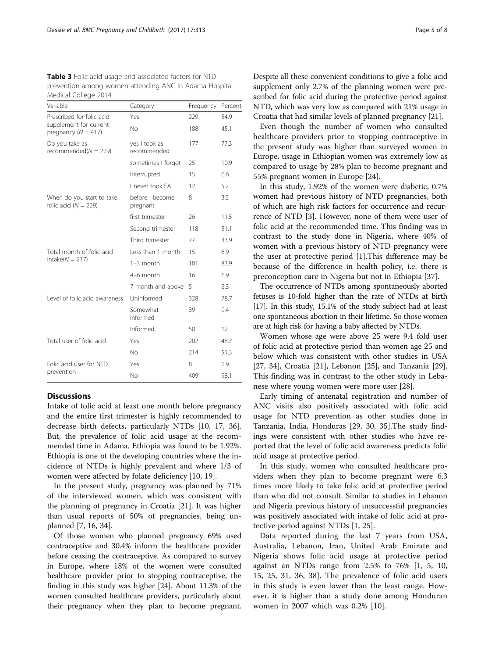<span id="page-4-0"></span>Table 3 Folic acid usage and associated factors for NTD prevention among women attending ANC in Adama Hospital Medical College 2014

| Variable                                              | Category                     | Frequency | Percent |
|-------------------------------------------------------|------------------------------|-----------|---------|
| Prescribed for folic acid                             | Yes                          | 229       | 54.9    |
| supplement for current<br>pregnancy ( $N = 417$ )     | No                           | 188       | 45.1    |
| Do you take as<br>recommended( $N = 229$ )            | yes I took as<br>recommended | 177       | 77.3    |
|                                                       | sometimes I forgot           | 25        | 10.9    |
|                                                       | Interrupted                  | 15        | 6.6     |
|                                                       | I never took FA              | 12        | 5.2     |
| When do you start to take<br>folic acid ( $N = 229$ ) | before I become<br>pregnant  | 8         | 3.5     |
|                                                       | first trimester              | 26        | 11.5    |
|                                                       | Second trimester             | 118       | 51.1    |
|                                                       | Third trimester              | 77        | 33.9    |
| Total month of folic acid<br>$intake(N = 217)$        | Less than 1 month            | 15        | 6.9     |
|                                                       | $1-3$ month                  | 181       | 83.9    |
|                                                       | 4-6 month                    | 16        | 6.9     |
|                                                       | 7 month and above            | 5         | 2.3     |
| Level of folic acid awareness                         | Uninformed                   | 328       | 78.7    |
|                                                       | Somewhat<br>informed         | 39        | 9.4     |
|                                                       | Informed                     | 50        | 12      |
| Total user of folic acid                              | Yes                          | 202       | 48.7    |
|                                                       | No                           | 214       | 51.3    |
| Folic acid user for NTD                               | Yes                          | 8         | 1.9     |
| prevention                                            | No                           | 409       | 98.1    |

### **Discussions**

Intake of folic acid at least one month before pregnancy and the entire first trimester is highly recommended to decrease birth defects, particularly NTDs [[10](#page-6-0), [17](#page-6-0), [36](#page-7-0)]. But, the prevalence of folic acid usage at the recommended time in Adama, Ethiopia was found to be 1.92%. Ethiopia is one of the developing countries where the incidence of NTDs is highly prevalent and where 1/3 of women were affected by folate deficiency [\[10, 19\]](#page-6-0).

In the present study, pregnancy was planned by 71% of the interviewed women, which was consistent with the planning of pregnancy in Croatia [\[21](#page-6-0)]. It was higher than usual reports of 50% of pregnancies, being unplanned [\[7](#page-6-0), [16](#page-6-0), [34](#page-7-0)].

Of those women who planned pregnancy 69% used contraceptive and 30.4% inform the healthcare provider before ceasing the contraceptive. As compared to survey in Europe, where 18% of the women were consulted healthcare provider prior to stopping contraceptive, the finding in this study was higher [[24](#page-6-0)]. About 11.3% of the women consulted healthcare providers, particularly about their pregnancy when they plan to become pregnant.

Despite all these convenient conditions to give a folic acid supplement only 2.7% of the planning women were prescribed for folic acid during the protective period against NTD, which was very low as compared with 21% usage in Croatia that had similar levels of planned pregnancy [[21](#page-6-0)].

Even though the number of women who consulted healthcare providers prior to stopping contraceptive in the present study was higher than surveyed women in Europe, usage in Ethiopian women was extremely low as compared to usage by 28% plan to become pregnant and 55% pregnant women in Europe [[24\]](#page-6-0).

In this study, 1.92% of the women were diabetic, 0.7% women had previous history of NTD pregnancies, both of which are high risk factors for occurrence and recurrence of NTD [[3\]](#page-6-0). However, none of them were user of folic acid at the recommended time. This finding was in contrast to the study done in Nigeria, where 40% of women with a previous history of NTD pregnancy were the user at protective period [[1\]](#page-6-0).This difference may be because of the difference in health policy, i.e. there is preconception care in Nigeria but not in Ethiopia [[37\]](#page-7-0).

The occurrence of NTDs among spontaneously aborted fetuses is 10-fold higher than the rate of NTDs at birth [[17](#page-6-0)]. In this study, 15.1% of the study subject had at least one spontaneous abortion in their lifetime. So those women are at high risk for having a baby affected by NTDs.

Women whose age were above 25 were 9.4 fold user of folic acid at protective period than women age 25 and below which was consistent with other studies in USA [[27,](#page-6-0) [34\]](#page-7-0), Croatia [[21\]](#page-6-0), Lebanon [[25](#page-6-0)], and Tanzania [\[29](#page-7-0)]. This finding was in contrast to the other study in Lebanese where young women were more user [[28\]](#page-6-0).

Early timing of antenatal registration and number of ANC visits also positively associated with folic acid usage for NTD prevention as other studies done in Tanzania, India, Honduras [[29, 30](#page-7-0), [35\]](#page-7-0).The study findings were consistent with other studies who have reported that the level of folic acid awareness predicts folic acid usage at protective period.

In this study, women who consulted healthcare providers when they plan to become pregnant were 6.3 times more likely to take folic acid at protective period than who did not consult. Similar to studies in Lebanon and Nigeria previous history of unsuccessful pregnancies was positively associated with intake of folic acid at protective period against NTDs [\[1](#page-6-0), [25\]](#page-6-0).

Data reported during the last 7 years from USA, Australia, Lebanon, Iran, United Arab Emirate and Nigeria shows folic acid usage at protective period against an NTDs range from 2.5% to 76% [[1, 5](#page-6-0), [10](#page-6-0), [15, 25](#page-6-0), [31](#page-7-0), [36, 38](#page-7-0)]. The prevalence of folic acid users in this study is even lower than the least range. However, it is higher than a study done among Honduran women in 2007 which was 0.2% [[10\]](#page-6-0).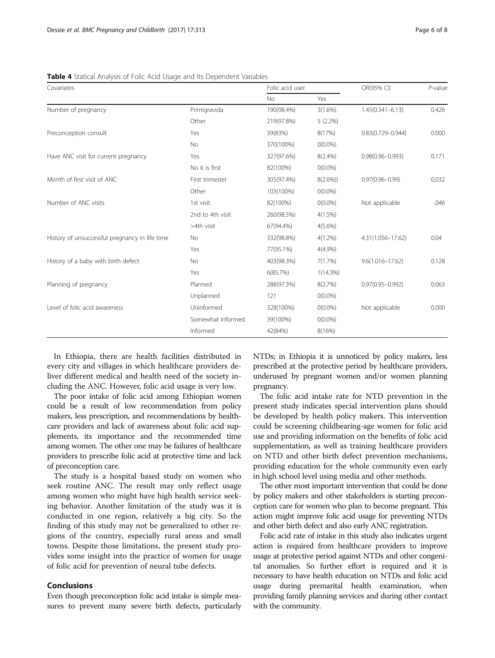| Covariates                                     |                   | Folic acid user |            | OR(95% CI)            | $P$ -value |
|------------------------------------------------|-------------------|-----------------|------------|-----------------------|------------|
|                                                |                   | <b>No</b>       | Yes        |                       |            |
| Number of pregnancy                            | Primigravida      | 190(98.4%)      | 3(1.6%)    | $1.45(0.341 - 6.13)$  | 0.426      |
|                                                | Other             | 219(97.8%)      | 5(2.2%)    |                       |            |
| Preconception consult                          | Yes               | 39(83%)         | 8(17%)     | $0.83(0.729 - 0.944)$ | 0.000      |
|                                                | <b>No</b>         | 370(100%)       | $O(0.0\%)$ |                       |            |
| Have ANC visit for current pregnancy           | Yes               | 327(97.6%)      | $8(2.4\%)$ | $0.98(0.96 - 0.993)$  | 0.171      |
|                                                | No it is first    | 82(100%)        | $O(0.0\%)$ |                       |            |
| Month of first visit of ANC                    | First trimester   | 305(97.4%)      | $8(2.6\%)$ | $0.97(0.96 - 0.99)$   | 0.032      |
|                                                | Other             | 103(100%)       | $O(0.0\%)$ |                       |            |
| Number of ANC visits                           | 1st visit         | 82(100%)        | $O(0.0\%)$ | Not applicable        | .046       |
|                                                | 2nd to 4th visit  | 260(98.5%)      | 4(1.5%)    |                       |            |
|                                                | >4th visit        | 67(94.4%)       | $4(5.6\%)$ |                       |            |
| History of unsuccessful pregnancy in life time | <b>No</b>         | 332(98.8%)      | $4(1.2\%)$ | 4.31(1.056-17.62)     | 0.04       |
|                                                | Yes               | 77(95.1%)       | $4(4.9\%)$ |                       |            |
| History of a baby with birth defect            | No                | 403(98.3%)      | 7(1.7%)    | $9.6(1.016 - 17.62)$  | 0.128      |
|                                                | Yes               | 6(85.7%)        | 1(14.3%)   |                       |            |
| Planning of pregnancy                          | Planned           | 288(97.3%)      | 8(2.7%)    | $0.97(0.95 - 0.992)$  | 0.063      |
|                                                | Unplanned         | 121             | $O(0.0\%)$ |                       |            |
| Level of folic acid awareness                  | Uninformed        | 328(100%)       | $O(0.0\%)$ | Not applicable        | 0.000      |
|                                                | Somewhat informed | 39(100%)        | $O(0.0\%)$ |                       |            |
|                                                | Informed          | 42(84%)         | 8(16%)     |                       |            |

<span id="page-5-0"></span>Table 4 Statical Analysis of Folic Acid Usage and Its Dependent Variables

In Ethiopia, there are health facilities distributed in every city and villages in which healthcare providers deliver different medical and health need of the society including the ANC. However, folic acid usage is very low.

The poor intake of folic acid among Ethiopian women could be a result of low recommendation from policy makers, less prescription, and recommendations by healthcare providers and lack of awareness about folic acid supplements, its importance and the recommended time among women. The other one may be failures of healthcare providers to prescribe folic acid at protective time and lack of preconception care.

The study is a hospital based study on women who seek routine ANC. The result may only reflect usage among women who might have high health service seeking behavior. Another limitation of the study was it is conducted in one region, relatively a big city. So the finding of this study may not be generalized to other regions of the country, especially rural areas and small towns. Despite those limitations, the present study provides some insight into the practice of women for usage of folic acid for prevention of neural tube defects.

#### Conclusions

Even though preconception folic acid intake is simple measures to prevent many severe birth defects, particularly NTDs; in Ethiopia it is unnoticed by policy makers, less prescribed at the protective period by healthcare providers, underused by pregnant women and/or women planning pregnancy.

The folic acid intake rate for NTD prevention in the present study indicates special intervention plans should be developed by health policy makers. This intervention could be screening childbearing-age women for folic acid use and providing information on the benefits of folic acid supplementation, as well as training healthcare providers on NTD and other birth defect prevention mechanisms, providing education for the whole community even early in high school level using media and other methods.

The other most important intervention that could be done by policy makers and other stakeholders is starting preconception care for women who plan to become pregnant. This action might improve folic acid usage for preventing NTDs and other birth defect and also early ANC registration.

Folic acid rate of intake in this study also indicates urgent action is required from healthcare providers to improve usage at protective period against NTDs and other congenital anomalies. So further effort is required and it is necessary to have health education on NTDs and folic acid usage during premarital health examination, when providing family planning services and during other contact with the community.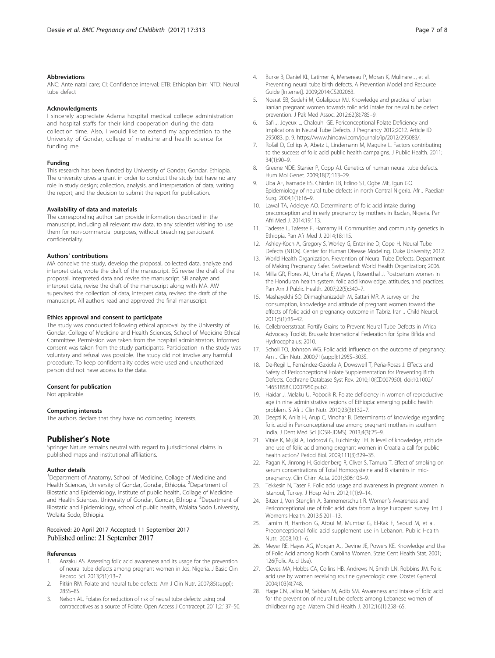#### <span id="page-6-0"></span>Abbreviations

ANC: Ante natal care; CI: Confidence interval; ETB: Ethiopian birr; NTD: Neural tube defect

#### Acknowledgments

I sincerely appreciate Adama hospital medical college administration and hospital staffs for their kind cooperation during the data collection time. Also, I would like to extend my appreciation to the University of Gondar, college of medicine and health science for funding me.

#### Funding

This research has been funded by University of Gondar, Gondar, Ethiopia. The university gives a grant in order to conduct the study but have no any role in study design; collection, analysis, and interpretation of data; writing the report; and the decision to submit the report for publication.

#### Availability of data and materials

The corresponding author can provide information described in the manuscript, including all relevant raw data, to any scientist wishing to use them for non-commercial purposes, without breaching participant confidentiality.

#### Authors' contributions

MA conceive the study, develop the proposal, collected data, analyze and interpret data, wrote the draft of the manuscript. EG revise the draft of the proposal, interpreted data and revise the manuscript. SB analyze and interpret data, revise the draft of the manuscript along with MA. AW supervised the collection of data, interpret data, revised the draft of the manuscript. All authors read and approved the final manuscript.

#### Ethics approval and consent to participate

The study was conducted following ethical approval by the University of Gondar, College of Medicine and Health Sciences, School of Medicine Ethical Committee. Permission was taken from the hospital administrators. Informed consent was taken from the study participants. Participation in the study was voluntary and refusal was possible. The study did not involve any harmful procedure. To keep confidentiality codes were used and unauthorized person did not have access to the data.

#### Consent for publication

Not applicable.

#### Competing interests

The authors declare that they have no competing interests.

#### Publisher's Note

Springer Nature remains neutral with regard to jurisdictional claims in published maps and institutional affiliations.

#### Author details

<sup>1</sup>Department of Anatomy, School of Medicine, Collage of Medicine and Health Sciences, University of Gondar, Gondar, Ethiopia. <sup>2</sup>Department of Biostatic and Epidemiology, Institute of public health, Collage of Medicine and Health Sciences, University of Gondar, Gondar, Ethiopia. <sup>3</sup>Department of Biostatic and Epidemiology, school of public health, Wolaita Sodo University, Wolaita Sodo, Ethiopia.

#### Received: 20 April 2017 Accepted: 11 September 2017 Published online: 21 September 2017

#### References

- 1. Anzaku AS. Assessing folic acid awareness and its usage for the prevention of neural tube defects among pregnant women in Jos, Nigeria. J Basic Clin Reprod Sci. 2013;2(1):13–7.
- 2. Pitkin RM. Folate and neural tube defects. Am J Clin Nutr. 2007;85(suppl): 285S–8S.
- 3. Nelson AL. Folates for reduction of risk of neural tube defects: using oral contraceptives as a source of Folate. Open Access J Contracept. 2011;2:137–50.
- 4. Burke B, Daniel KL, Latimer A, Mersereau P, Moran K, Mulinare J, et al. Preventing neural tube birth defects. A Prevention Model and Resource Guide [Internet]. 2009;2014:CS202063.
- 5. Nosrat SB, Sedehi M, Golalipour MJ. Knowledge and practice of urban Iranian pregnant women towards folic acid intake for neural tube defect prevention. J Pak Med Assoc. 2012;62(8):785–9.
- 6. Safi J, Joyeux L, Chalouhi GE. Periconceptional Folate Deficiency and Implications in Neural Tube Defects. J Pregnancy 2012;2012. Article ID 295083. p. 9. [https://www.hindawi.com/journals/ip/2012/295083/.](https://www.hindawi.com/journals/ip/2012/295083/)
- 7. Rofail D, Colligs A, Abetz L, Lindemann M, Maguire L. Factors contributing to the success of folic acid public health campaigns. J Public Health. 2011; 34(1):90–9.
- 8. Greene NDE, Stanier P, Copp AJ. Genetics of human neural tube defects. Hum Mol Genet. 2009;18(2):113–29.
- 9. Uba AF, Isamade ES, Chirdan LB, Edino ST, Ogbe ME, Igun GO. Epidemiology of neural tube defects in north Central Nigeria. Afr J Paediatr Surg. 2004;1(1):16–9.
- 10. Lawal TA, Adeleye AO. Determinants of folic acid intake during preconception and in early pregnancy by mothers in Ibadan, Nigeria. Pan Afri Med J. 2014;19:113.
- 11. Tadesse L, Tafesse F, Hamamy H. Communities and community genetics in Ethiopia. Pan Afr Med J. 2014;18:115.
- 12. Ashley-Koch A, Gregory S, Worley G, Enterline D, Cope H. Neural Tube Defects (NTDs). Center for Human Disease Modeling. Duke University; 2012.
- 13. World Health Organization. Prevention of Neural Tube Defects. Department of Making Pregnancy Safer. Switzerland: World Health Organization; 2006.
- 14. Milla GR, Flores AL, Umaña E, Mayes I, Rosenthal J. Postpartum women in the Honduran health system: folic acid knowledge, attitudes, and practices. Pan Am J Public Health. 2007;22(5):340–7.
- 15. Mashayekhi SO, Dilmaghanizadeh M, Sattari MR. A survey on the consumption, knowledge and attitude of pregnant women toward the effects of folic acid on pregnancy outcome in Tabriz. Iran J Child Neurol. 2011;5(1):35–42.
- 16. Cellebroersstraat. Fortify Grains to Prevent Neural Tube Defects in Africa Advocacy Toolkit. Brussels: International Federation for Spina Bifida and Hydrocephalus; 2010.
- 17. Scholl TO, Johnson WG. Folic acid: influence on the outcome of pregnancy. Am J Clin Nutr. 2000;71(suppl):1295S–303S.
- 18. De-Regil L, Fernández-Gaxiola A, Dowswell T, Peña-Rosas J. Effects and Safety of Periconceptional Folate Supplementation for Preventing Birth Defects. Cochrane Database Syst Rev. 2010;10(CD007950). doi:[10.1002/](http://dx.doi.org/10.1002/14651858.CD007950.pub2) [14651858.CD007950.pub2](http://dx.doi.org/10.1002/14651858.CD007950.pub2).
- 19. Haidar J, Melaku U, Pobocik R. Folate deficiency in women of reproductive age in nine administrative regions of Ethiopia: emerging public health problem. S Afr J Clin Nutr. 2010;23(3):132–7.
- 20. Deepti K, Anila H, Arup C, Vinohar B. Determinants of knowledge regarding folic acid in Periconceptional use among pregnant mothers in southern India. J Dent Med Sci (IOSR-JDMS). 2013;4(3):25–9.
- 21. Vitale K, Mujki A, Todorovi G, Tulchinsky TH. Is level of knowledge, attitude and use of folic acid among pregnant women in Croatia a call for public health action? Period Biol. 2009;111(3):329–35.
- 22. Pagan K, Jinrong H, Goldenberg R, Cliver S, Tamura T. Effect of smoking on serum concentrations of Total Homocysteine and B vitamins in midpregnancy. Clin Chim Acta. 2001;306:103–9.
- 23. Tekkesin N, Taser F. Folic acid usage and awareness in pregnant women in Istanbul, Turkey. J Hosp Adm. 2012;1(1):9–14.
- 24. Bitzer J, Von Stenglin A, Bannemerschult R. Women's Awareness and Periconceptional use of folic acid: data from a large European survey. Int J Women's Health. 2013;5:201–13.
- 25. Tamim H, Harrison G, Atoui M, Mumtaz G, El-Kak F, Seoud M, et al. Preconceptional folic acid supplement use in Lebanon. Public Health Nutr. 2008;10:1–6.
- 26. Meyer RE, Hayes AG, Morgan AJ, Devine JE, Powers KE. Knowledge and Use of Folic Acid among North Carolina Women. State Cent Health Stat. 2001; 126(Folic Acid Use).
- 27. Cleves MA, Hobbs CA, Collins HB, Andrews N, Smith LN, Robbins JM. Folic acid use by women receiving routine gynecologic care. Obstet Gynecol. 2004;103(4):748.
- 28. Hage CN, Jallou M, Sabbah M, Adib SM. Awareness and intake of folic acid for the prevention of neural tube defects among Lebanese women of childbearing age. Matern Child Health J. 2012;16(1):258–65.